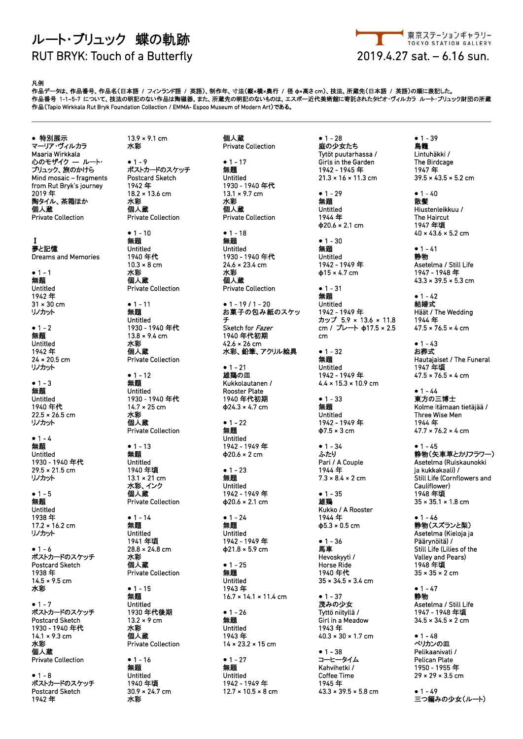## ルート・ブリュック 蝶の軌跡 RUT BRYK: Touch of a Butterfly 2019.4.27 sat. – 6.16 sun.



## 凡例

作品データは、作品番号、作品名(日本語 / フィンランド語 / 英語)、制作年、寸法(縦×横×奥行 / 径 **φ**×高さ cm)、技法、所蔵先(日本語 / 英語)の順に表記した。 作品番号 1-1~5-7 について、技法の明記のない作品は陶磁器、また、所蔵先の明記のないものは、エスポー近代美術館に寄託されたタピオ・ヴィルカラ ルート・ブリュック財団の所蔵 … ALT Journal Collection State Collection / EMMA- Espoo Museum of Modern Art)である。<br>作品 (Tapio Wirkkala Rut Bryk Foundation Collection / EMMA- Espoo Museum of Modern Art)である。

**●** 特別展示 マーリア・ヴィルカラ Maaria Wirkkala 心のモザイク **―** ルート・ ブリュック、旅のかけら Mind mosaic – fragments from Rut Bryk's journey 2019 年 陶タイル、茶箱ほか 個人蔵 Private Collection

Ⅰ 夢と記憶 Dreams and Memories

**●** 1 - 1 無題 Untitled 1942 年 31 × 30 cm リノカット

**●** 1 - 2 無題 Untitled 1942 年 24 × 20.5 cm リノカット

**●** 1 - 3 無題 Untitled 1940 年代 22.5 × 26.5 cm リノカット

**●** 1 - 4 無題 Untitled 1930 - 1940 年代  $29.5 \times 21.5 \text{ cm}$ リノカット

**●** 1 - 5 無題 Untitled 1938 年 17.2 × 16.2 cm リノカット

**●** 1 - 6 ポストカードのスケッチ Postcard Sketch 1938 年 14.5 × 9.5 cm 水彩

**●** 1 - 7 ポストカードのスケッチ Postcard Sketch 1930 - 1940 年代 14.1 × 9.3 cm 水彩 個人蔵 Private Collection

**●** 1 - 8 ポストカードのスケッチ Postcard Sketch 1942 年

13.9 × 9.1 cm 水彩

**●** 1 - 9 ポストカードのスケッチ Postcard Sketch 1942 年 18.2 × 13.6 cm 水彩 個人蔵 Private Collection

**●** 1 - 10 無題 Untitled 1940 年代  $10.3 \times 8$  cm 水彩 個人蔵 Private Collection

**●** 1 - 11 無題 Untitled 1930 - 1940 年代  $13.8 \times 9.4 \text{ cm}$ 水彩 個人蔵 Private Collection

**●** 1 - 12 無題 Untitled 1930 - 1940 年代 14.7 × 25 cm 水彩 個人蔵 Private Collection

**●** 1 - 13 無題 Untitled 1940 年頃  $13.1 \times 21 \, \text{cm}$ 水彩、インク 個人蔵 Private Collection

**●** 1 - 14 無題 Untitled 1941 年頃 28.8 × 24.8 cm 水彩 ……<br>個人蔵 Private Collection

**●** 1 - 15 無題 Untitled 1930 年代後期 13.2 × 9 cm 水彩 個人蔵 Private Collection

**●** 1 - 16 無題 Untitled 1940 年頃 30.9 × 24.7 cm 水彩

個人蔵 Private Collection

**●** 1 - 17 無題 Untitled 1930 - 1940 年代 13.1 × 9.7 cm 水彩 個人蔵 Private Collection

**●** 1 - 18 無題 Untitled 1930 - 1940 年代 24.6 × 23.4 cm 水彩 個人蔵 Private Collection

**●** 1 - 19 / 1 - 20 お菓子の包み紙のスケッ チ Sketch for Fazer 1940 年代初期 42.6 × 26 cm 水彩、鉛筆、アクリル絵具

**●** 1 - 21 雄鶏の皿 Kukkolautanen / Rooster Plate 1940 年代初期 **φ**24.3 × 4.7 cm

**●** 1 - 22 無題 Untitled 1942 - 1949 年 **φ**20.6 × 2 cm

**●** 1 - 23 無題 Untitled 1942 - 1949 年 **φ**20.6 × 2.1 cm

**●** 1 - 24 無題 Untitled 1942 - 1949 年 **φ**21.8 × 5.9 cm

**●** 1 - 25 無題 Untitled 1943 年 16.7 × 14.1 × 11.4 cm

**●** 1 - 26 無題 Untitled 1943 年  $14 \times 23.2 \times 15$  cm

**●** 1 - 27 無題 Untitled 1942 - 1949 年 12.7 × 10.5 × 8 cm **●** 1 - 28 庭の少女たち Tytöt puutarhassa / Girls in the Garden 1942 - 1945 年 21.3 × 16 × 11.3 cm

**●** 1 - 29 無題 Untitled 1944 年 **φ**20.6 × 2.1 cm

**●** 1 - 30 無題 Untitled 1942 - 1949 年 **φ**15 × 4.7 cm

**●** 1 - 31 無題 Untitled 1942 - 1949 年 カップ 5.9 × 13.6 × 11.8 cm / プレート **φ**17.5 × 2.5 cm

**●** 1 - 32 無題 Untitled 1942 - 1949 年  $4.4 \times 15.3 \times 10.9$  cm

**●** 1 - 33 無題 Untitled 1942 - 1949 年 **φ**7.5 × 3 cm

**●** 1 - 34 ふたり Pari / A Couple 1944 年  $7.3 \times 8.4 \times 2$  cm

**●** 1 - 35 雄鶏 Kukko / A Rooster 1944 年 **φ**5.3 × 0.5 cm

**●** 1 - 36 馬車 Hevoskyyti / Horse Ride 1940 年代 35 × 34.5 × 3.4 cm

**●** 1 - 37 茂みの少女 Tyttö niityllä / Girl in a Meadow 1943 年  $40.3 \times 30 \times 1.7$  cm

**●** 1 - 38 コーヒータイム Kahvihetki / Coffee Time 1945 年  $43.3 \times 39.5 \times 5.8$  cm **●** 1 - 39 鳥籠 Lintuhäkki / The Birdcage 1947 年 39.5 × 43.5 × 5.2 cm

**●** 1 - 40 散髪 Hiustenleikkuu / The Haircut 1947 年頃 40 × 43.6 × 5.2 cm

**●** 1 - 41 静物 Asetelma / Still Life 1947 - 1948 年 43.3 × 39.5 × 5.3 cm

**●** 1 - 42 結婚式 Häät / The Wedding 1944 年  $47.5 \times 76.5 \times 4$  cm

**●** 1 - 43 お葬式 Hautajaiset / The Funeral 1947 年頃  $47.5 \times 76.5 \times 4 \text{ cm}$ 

**●** 1 - 44 東方の三博士 Kolme itämaan tietäjää / Three Wise Men 1944 年  $47.7 \times 76.2 \times 4$  cm

**●** 1 - 45 静物(矢車草とカリフラワー) Asetelma (Ruiskaunokki ja kukkakaali) / .<br>Still Life (Cornflowers and Cauliflower) 1948 年頃 35 × 35.1 × 1.8 cm

**●** 1 - 46 静物(スズランと梨) Asetelma (Kieloja ja Päärynöitä) / Still Life (Lilies of the Valley and Pears) 1948年頃  $35 \times 35 \times 2$  cm

**●** 1 - 47 静物 Asetelma / Still Life 1947 - 1948 年頃 34.5 × 34.5 × 2 cm

**●** 1 - 48 ペリカンの皿 Pelikaanivati / Pelican Plate 1950 - 1955 年 29 × 29 × 3.5 cm

**●** 1 - 49 三つ編みの少女(ルート)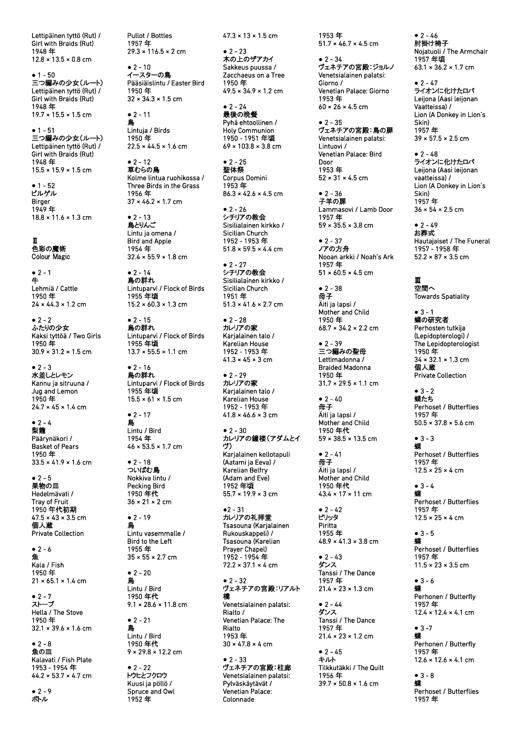Lettipäinen tyttö (Rut) / Girl with Braids (Rut) 1948 年 12.8 × 13.5 × 0.8 cm

**●** 1 - 50 三つ編みの少女(ルート) Lettipäinen tyttö (Rut) / Girl with Braids (Rut) 1948 年 19.7 × 15.5 × 1.5 cm

**●** 1 - 51 三つ編みの少女(ルート) Lettipäinen tyttö (Rut) / Girl with Braids (Rut) 1948 年 15.5 × 15.9 × 1.5 cm

**●** 1 - 52 ビルゲル Birger 1949 年 18.8 × 11.6 × 1.3 cm

Ⅱ 色彩の魔術 Colour Magic

**●** 2 - 1 牛 Lehmiä / Cattle 1950 年  $24 \times 44.3 \times 1.2$  cm

**●** 2 - 2 ふたりの少女 Kaksi tyttöä / Two Girls 1950 年 30.9 × 31.2 × 1.5 cm

**●** 2 - 3 水差しとレモン Kannu ja sitruuna / Jug and Lemon 1950 年  $24.7 \times 45 \times 1.4$  cm

**●** 2 - 4 梨籠 Päärynäkori / Basket of Pears 1950 年 33.5 × 41.9 × 1.6 cm

**●** 2 - 5 果物の皿 Hedelmävati / Tray of Fruit 1950 年代初期  $47.5 \times 43 \times 3.5$  cm 個人蔵 Private Collection

**●** 2 - 6 魚 Kala / Fish 1950 年  $21 \times 65.1 \times 1.4$  cm

**●** 2 - 7 ストーブ Hella / The Stove 1950 年 32.1 × 39.6 × 1.6 cm

**●** 2 - 8 魚の皿 Kalavati / Fish Plate 1953 - 1954 年  $44.2 \times 53.7 \times 4.7$  cm

**●** 2 - 9 ボトル

Pullot / Bottles 1957 年 29.3 × 116.5 × 2 cm

**●** 2 - 10 イースターの鳥 Pääsiäislintu / Easter Bird 1950 年 32 × 34.3 × 1.5 cm

**●** 2 - 11 鳥 Lintuja / Birds 1950 年  $22.5 \times 44.5 \times 1.6$  cm

**●** 2 - 12 草むらの鳥 Kolme lintua ruohikossa / Three Birds in the Grass 1956 年 37 × 46.2 × 1.7 cm

**●** 2 - 13 鳥とりんご Lintu ja omena / Bird and Apple 1954 年  $32.4 \times 55.9 \times 1.8$  cm

**●** 2 - 14 鳥の群れ Lintuparvi / Flock of Birds 1955 年頃  $15.2 \times 60.3 \times 1.3$  cm

**●** 2 - 15 鳥の群れ Lintuparvi / Flock of Birds 1955 年頃  $13.7 \times 55.5 \times 1.1$  cm

**●** 2 - 16 鳥の群れ Lintuparvi / Flock of Birds 1955 年頃  $15.5 \times 61 \times 1.5$  cm

**●** 2 - 17 鳥 Lintu / Bird 1954 年  $46 \times 53.5 \times 1.7$  cm

**●** 2 - 18 ついばむ鳥 Nokkiva lintu / Pecking Bird 1950 年代 36 × 21 × 2 cm

**●** 2 - 19 鳥 Lintu vasemmalle / Bird to the Left 1955 年 35 × 55 × 2.7 cm

**●** 2 - 20 鳥 Lintu / Bird 1950 年代  $9.1 \times 28.6 \times 11.8$  cm

**●** 2 - 21 鳥 Lintu / Bird 1950 年代  $9 \times 29.8 \times 12.2$  cm

**●** 2 - 22 トウヒとフクロウ Kuusi ja pöllö / Spruce and Owl 1952 年

 $47.3 \times 13 \times 1.5$  cm

**●** 2 - 23 木の上のザアカイ Sakkeus puussa / Zacchaeus on a Tree 1950 年 49.5 × 34.9 × 1.2 cm

**●** 2 - 24 -<br>最後の晩餐 Pyhä ehtoollinen / Holy Communion 1950 - 1951 年頃  $69 \times 103.8 \times 3.8 \text{ cm}$ 

**●** 2 - 25 聖体祭 Corpus Domini 1953 年  $86.3 \times 42.6 \times 4.5$  cm

**●** 2 - 26 シチリアの教会 Sisilialainen kirkko / Sicilian Church 1952 - 1953 年 51.8 × 59.5 × 4.4 cm

**●** 2 - 27 シチリアの教会 Sisilialainen kirkko / Sicilian Church 1951 年  $51.3 \times 41.6 \times 2.7$  cm

**●** 2 - 28 カレリアの家 Karjalainen talo / Karelian House 1952 - 1953 年  $41.3 \times 45 \times 3$  cm

**●** 2 - 29 カレリアの家 Karjalainen talo / Karelian House 1952 - 1953 年  $41.8 \times 46.6 \times 3$  cm

**●** 2 - 30 カレリアの鐘楼(アダムとイ ヴ) Karjalainen kellotapuli (Aatami ja Eeva) / Karelian Belfry (Adam and Eve) 1952 年頃  $55.7 \times 19.9 \times 3$  cm

**●**2 - 31 カレリアの礼拝堂 Tsasouna (Karjalainen Rukouskappeli) / Tsasouna (Karelian Prayer Chapel) 1952 - 1954 年  $72.2 \times 37.1 \times 4 \text{ cm}$ 

**●** 2 - 32 ヴェネチアの宮殿:リアルト 橋 Venetsialainen palatsi: Rialto / Venetian Palace: The Rialto 1953 年  $30 \times 47.8 \times 4$  cm

**●** 2 - 33 ヴェネチアの宮殿:柱廊 Venetsialainen palatsi: Pylväskäytävät / Venetian Palace: Colonnade

1953 年  $51.7 \times 46.7 \times 4.5$  cm

**●** 2 - 34 ヴェネチアの宮殿:ジョルノ Venetsialainen palatsi: Giorno / Venetian Palace: Giorno 1953 年 60 × 26 × 4.5 cm

**●** 2 - 35 ヴェネチアの宮殿:鳥の扉 Venetsialainen palatsi: Lintuovi / Venetian Palace: Bird Door 1953 年  $52 \times 31 \times 4.5$  cm

**●** 2 - 36 子羊の扉 Lammasovi / Lamb Door 1957 年 59 × 35.5 × 3.8 cm

**●** 2 - 37 ノアの方舟 Nooan arkki / Noah's Ark 1957 年  $51 \times 60.5 \times 4.5$  cm

**●** 2 - 38 母子 Äiti ja lapsi / Mother and Child 1950 年 68.7 × 34.2 × 2.2 cm

**●** 2 - 39 三つ編みの聖母 Lettimadonna / Braided Madonna 1950 年 31.7 × 29.5 × 1.1 cm

**●** 2 - 40 母子 Äiti ja lapsi / Mother and Child 1950 年代 59 × 38.5 × 13.5 cm

**●** 2 - 41 母子 Äiti ja lapsi / Mother and Child 1950 年代 43.4 × 17 × 11 cm

**●** 2 - 42 ピリッタ Piritta 1955 年 48.9 × 41.3 × 3.8 cm

**●** 2 - 43 ダンス Tanssi / The Dance 1957 年 21.4 × 23 × 1.3 cm

**●** 2 - 44 ダンス Tanssi / The Dance 1957 年  $21.4 \times 23 \times 1.2$  cm

**●** 2 - 45 キルト Tilkkutäkki / The Quilt 1956 年 39.7 × 50.8 × 1.6 cm

**●** 2 - 46 肘掛け椅子 Nojatuoli / The Armchair 1957 年頃  $63.1 \times 36.2 \times 1.7$  cm

**●** 2 - 47 ライオンに化けたロバ Leijona (Aasi leijonan Vaatteissa) / Lion (A Donkey in Lion's Skin) 1957 年 39 × 57.5 × 2.5 cm

**●** 2 - 48 ライオンに化けたロバ Leijona (Aasi leijonan vaatteissa) / Lion (A Donkey in Lion's Skin) 1957 年 36 × 54 × 2.5 cm

**●** 2 - 49 お葬式 Hautajaiset / The Funeral 1957 - 1958 年  $52.2 \times 87 \times 3.5$  cm

Ⅲ 空間へ Towards Spatiality

**●** 3 - 1 蝶の研究者 Perhosten tutkija (Lepidopterologi) / The Lepidopterologist 1950 年 34 × 32.1 × 1.3 cm 個人蔵 Private Collection

**●** 3 - 2 蝶たち Perhoset / Butterflies 1957 年  $50.5 \times 37.8 \times 5.6$  cm

**●** 3 - 3 蝶 Perhoset / Butterflies 1957 年  $12.5 \times 25 \times 4 \text{ cm}$ 

**●** 3 - 4 蝶 Perhoset / Butterflies 1957 年  $12.5 \times 25 \times 4 \text{ cm}$ 

**●** 3 - 5 蝶 Perhoset / Butterflies 1957 年  $11.5 \times 23 \times 3.5$  cm

**●** 3 - 6 蝶 Perhonen / Butterfly 1957 年  $12.4 \times 12.4 \times 4.1$  cm

**●** 3 -7 蝶 Perhonen / Butterfly 1957 年 12.6 × 12.6 × 4.1 cm

**●** 3 - 8 蝶 Perhoset / Butterflies 1957 年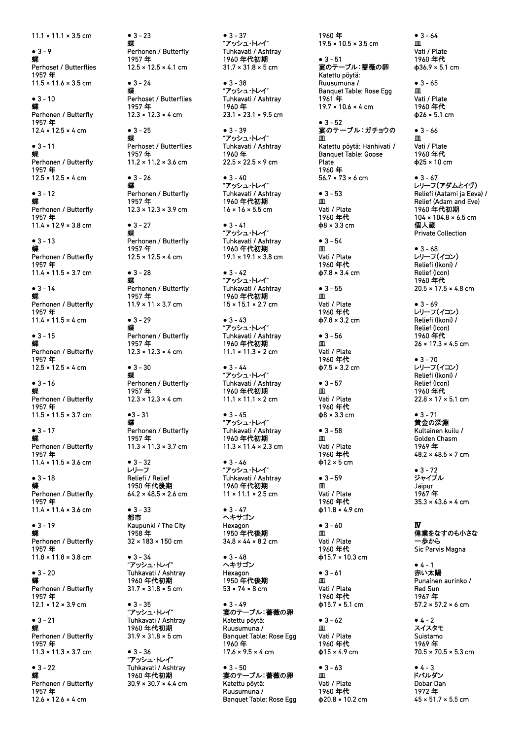11.1 × 11.1 × 3.5 cm

**●** 3 - 9 <sup>蝶</sup> Perhoset / Butterflies 1957 年 11.5 × 11.6 × 3.5 cm

**●** 3 - 10 <sup>蝶</sup> Perhonen / Butterfly 1957 年 12.4 × 12.5 × 4 cm

**●** 3 - 11 <sup>蝶</sup> Perhonen / Butterfly 1957 年  $12.5 \times 12.5 \times 4$  cm

 $• 3 - 12$ Perhonen / Butterfly 1957 年 11.4 × 12.9 × 3.8 cm

 $• 3 - 13$ Perhonen / Butterfly 1957 年 11.4 × 11.5 × 3.7 cm 11.1 × 11.1 × 3.5 cm<br>
• 3.9<br>
sechocet / Butterflies<br>
The most of Mutterflies<br>
11.5 × 11.6 × 3.5 cm<br>
• 3.10<br>
sechonen / Butterfly<br>
11.5 × 11.6 × 3.5 cm<br>
• 3.10<br>
Perhonen / Butterfly<br>
11.97 7年<br>
12.4 × 12.5 × 4 cm<br>
• 3.12<br>
P

**●** 3 - 14 <sup>蝶</sup> Perhonen / Butterfly 1957 年 11.4 × 11.5 × 4 cm

**●** 3 - 15 <sup>蝶</sup> Perhonen / Butterfly 1957 年 12.5 × 12.5 × 4 cm

 $\bullet$  3 - 16 Perhonen / Butterfly 1957 年  $11.5 \times 11.5 \times 3.7$  cm

**●** 3 - 17 <sup>蝶</sup> Perhonen / Butterfly 1957 年 11.4 × 11.5 × 3.6 cm

**●** 3 - 18 <sup>蝶</sup> Perhonen / Butterfly 1957 年 11.4 × 11.4 × 3.6 cm

**●** 3 - 19 <sup>蝶</sup> Perhonen / Butterfly 1957 年 11.8 × 11.8 × 3.8 cm

 $• 3 - 20$ Perhonen / Butterfly 1957 年  $12.1 \times 12 \times 3.9$  cm

**●** 3 - 21 <sup>蝶</sup> Perhonen / Butterfly 1957 年  $11.3 \times 11.3 \times 3.7$  cm

**●** 3 - 22 <sup>蝶</sup> Perhonen / Butterfly 1957 年

 $• 3 - 23$ 蝶 Perhonen / Butterfly 1957 年  $12.5 \times 12.5 \times 4.1$  cm ●33 - 23<br>
What Market / Butterflies<br>
Terhonen / Butterflies<br>
The mone of Butterflies<br>
The mone of Butterflies<br>
The most / Butterflies<br>
The most / Butterflies<br>
The most / Butterflies<br>
The most / Butterflies<br>
The most / B

 $• 3 - 24$ Perhoset / Butterflies 1957 年  $12.3 \times 12.3 \times 4 \text{ cm}$ 

**●** 3 - 25 <sup>蝶</sup> Perhoset / Butterflies 1957 年 11.2 × 11.2 × 3.6 cm

 $• 3 - 26$ Perhonen / Butterfly 1957 年 12.3 × 12.3 × 3.9 cm

**●** 3 - 27 <sup>蝶</sup> Perhonen / Butterfly 1957 年  $12.5 \times 12.5 \times 4 \text{ cm}$ 

**●** 3 - 28 <sup>蝶</sup> Perhonen / Butterfly 1957 年  $11.9 \times 11 \times 3.7$  cm

 $• 3 - 29$ Perhonen / Butterfly 1957 年  $12.3 \times 12.3 \times 4$  cm

**●** 3 - 30 <sup>蝶</sup> Perhonen / Butterfly 1957 年  $12.3 \times 12.3 \times 4$  cm

 $•3 - 31$ Perhonen / Butterfly 1957 年  $11.3 \times 11.3 \times 3.7$  cm

**●** 3 - 32 レリーフ Reliefi / Relief 1950 年代後期  $64.2 \times 48.5 \times 2.6$  cm

**●** 3 - 33 都市 Kaupunki / The City 1958 年 32 × 183 × 150 cm

**●** 3 - 34 "アッシュ・トレイ" Tuhkavati / Ashtray 1960 年代初期 31.7 × 31.8 × 5 cm

**●** 3 - 35 "アッシュ・トレイ" Tuhkavati / Ashtray 1960 年代初期 31.9 × 31.8 × 5 cm

**●** 3 - 36 "アッシュ・トレイ" Tuhkavati / Ashtray 1960 年代初期<br>30.9 × 30.7 × 4.4 cm ● 3 - 37<br>"アッシュ・トレイ" Tuhkavati / Ashtray 1960 年代初期  $31.7 \times 31.8 \times 5$  cm

**●** 3 - 38 "アッシュ・トレイ" Tuhkavati / Ashtray 1960 年  $23.1 \times 23.1 \times 9.5$  cm

● 3 - 39<br>"アッシュ・トレイ" Tuhkavati / Ashtray 1960 年  $22.5 \times 22.5 \times 9$  cm

**●** 3 - 40 "アッシュ・トレイ" Tuhkavati / Ashtray 1960 年代初期 16 × 16 × 5.5 cm

**●** 3 - 41 "アッシュ・トレイ" Tuhkavati / Ashtray 1960 年代初期  $19.1 \times 19.1 \times 3.8$  cm

**●** 3 - 42 "アッシュ・トレイ" Tuhkavati / Ashtray 1960 年代初期  $15 \times 15.1 \times 2.7$  cm

● 3 - 43<br>"アッシュ・トレイ" Tuhkavati / Ashtray 1960 年代初期 11.1 × 11.3 × 2 cm

● 3 - 44<br>"アッシュ・トレイ" Tuhkavati / Ashtray 1960 年代初期 11.1 × 11.1 × 2 cm

**●** 3 - 45 "アッシュ・トレイ" Tuhkavati / Ashtray 1960 年代初期  $11.3 \times 11.4 \times 2.3$  cm

**●** 3 - 46 "アッシュ・トレイ" Tuhkavati / Ashtray 1960 年代初期 11 × 11.1 × 2.5 cm

**●** 3 - 47 ヘキサゴン Hexagon 1950 年代後期 34.8 × 44 × 8.2 cm

**●** 3 - 48 ヘキサゴン Hexagon 1950 年代後期 53 × 74 × 8 cm

**●** 3 - 49 宴のテーブル:薔薇の卵 Katettu pöytä: Ruusumuna / Banquet Table: Rose Egg 1960 年  $17.6 \times 9.5 \times 4 \text{ cm}$ 

**●** 3 - 50 宴のテーブル:薔薇の卵 Katettu pöytä: Ruusumuna / Banquet Table: Rose Egg 1960 年 19.5 × 10.5 × 3.5 cm

**●** 3 - 51 宴のテーブル:薔薇の卵 Katettu pöytä: Ruusumuna / Banquet Table: Rose Egg 1961 年  $19.7 \times 10.6 \times 4$  cm

**●** 3 - 52 宴のテーブル:ガチョウの 皿 Katettu pöytä: Hanhivati / Banquet Table: Goose Plate 1960 年 56.7 × 73 × 6 cm 1960年<br>1955年10.8 × 10.5 × 10.5 × 10.5 × 10.5 × 3.5 cm → 10.5 × 10.5 × 3.5 cm → 10.5 × 3.5 cm → 10.5 × 3.5 cm → 10.5 × 3.5 cm → 10.6 × 4 cm → 1960年代 Raugust Table: Rose Egg → プル:ガチョウの Marquet Table: Rose Egg → 19.7 × 10.6

**●** 3 - 53 <sup>皿</sup> Vati / Plate 1960 年代 **φ**8 × 3.3 cm

**●** 3 - 54 <sup>皿</sup> Vati / Plate 1960 年代 **φ**7.8 × 3.4 cm

● 3 - 55<br>Ⅲ Vati / Plate 1960 年代 **φ**7.8 × 3.2 cm

● 3 - 56<br>Ⅲ Vati / Plate 1960 年代 **φ**7.5 × 3.2 cm

**●** 3 - 57 <sup>皿</sup> Vati / Plate 1960 年代 **φ**8 × 3.3 cm

● 3 - 58<br>皿 Vati / Plate 1960 年代 **φ**12 × 5 cm

**●** 3 - 59 <sup>皿</sup> Vati / Plate 1960 年代 **φ**11.8 × 4.9 cm

**●** 3 - 60 Vati / Plate

1960 年代 **φ**15.7 × 10.3 cm

**●** 3 - 61 <sup>皿</sup> Vati / Plate 1960 年代 **φ**15.7 × 5.1 cm

● 3 - 62<br>Ⅲ Vati / Plate 1960 年代 **φ**15 × 4.9 cm

● 3 - 63<br>皿 Vati / Plate 1960 年<mark>代</mark><br>Φ20.8 × 10.2 cm Vati / Plate 1960 年代 **φ**36.9 × 5.1 cm **●** 3 - 65 <sup>皿</sup> Vati / Plate 1960 年代 **φ**26 × 5.1 cm ● 3 - 66<br>Ⅲ Vati / Plate 1960 年代 **φ**25 × 10 cm **●** 3 - 67 レリーフ (アダムとイヴ ) Reliefi (Aatami ja Eeva ) / Relief (Adam and Eve ) 1960 年代初期  $104 \times 104.8 \times 6.5$  cm 個人蔵 Private Collection **●** 3 - 68 レリーフ (イコン ) Reliefi (Ikoni ) /

 $• 3 - 64$ 皿

Relief (Icon ) 1960 年代 20.5 × 17.5 × 4.8 cm

**●** 3 - 69 レリーフ (イコン ) Reliefi (Ikoni ) / Relief (Icon ) 1960 年代  $26 \times 17.3 \times 4.5$  cm

**●** 3 - 70 レリーフ (イコン ) Reliefi (Ikoni ) / Relief (Icon ) 1960 年代  $22.8 \times 17 \times 5.1$  cm

**●** 3 - 71 黄金の深淵 Kultainen kuilu / Golden Chasm 1969 年  $48.2 \times 48.5 \times 7$  cm

**●** 3 - 72 ジャイプル Jaipur 1967 年 35.3 × 43.6 × 4 cm

Ⅳ ままをなすのも小さな 一歩から Sic Parvis Magna

**●** 4 - 1 赤い太陽 Punainen aurinko / Red Sun 1967 年  $57.2 \times 57.2 \times 6$  cm

**●** 4 - 2 スイスタモ Suistamo 1969 年 70.5 × 70.5 × 5.3 cm

**●** 4 - 3 ドバルダン Dobar Dan 1972 年  $45 \times 51.7 \times 5.5$  cm